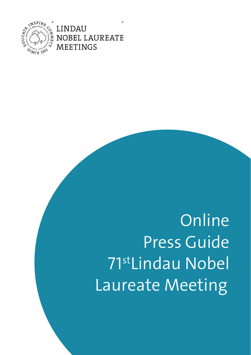

**LINDAU OBEL LAUREATE MEETINGS** 

œ

**Online** Press Guide 71st Lindau Nobel Laureate Meeting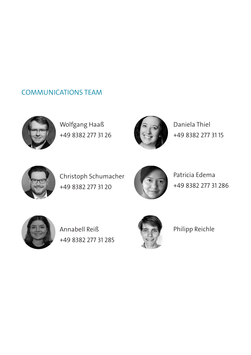# COMMUNICATIONS TEAM



Wolfgang Haaß +49 8382 277 31 26



Daniela Thiel +49 8382 277 31 15



Christoph Schumacher +49 8382 277 31 20



Patricia Edema +49 8382 277 31 286



Annabell Reiß +49 8382 277 31 285



Philipp Reichle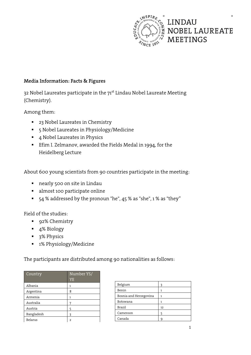

# **Media Information: Facts & Figures**

32 Nobel Laureates participate in the 71<sup>st</sup> Lindau Nobel Laureate Meeting (Chemistry).

Among them:

- <sup>2</sup> 23 Nobel Laureates in Chemistry
- 5 Nobel Laureates in Physiology/Medicine
- 4 Nobel Laureates in Physics
- Efim I. Zelmanov, awarded the Fields Medal in 1994, for the Heidelberg Lecture

About 600 young scientists from 90 countries participate in the meeting:

- nearly 500 on site in Lindau
- almost 100 participate online
- 54 % addressed by the pronoun "he", 45 % as "she", 1 % as "they"

Field of the studies:

- 92% Chemistry
- 4% Biology
- 3% Physics
- 1% Physiology/Medicine

The participants are distributed among 90 nationalities as follows:

| Country        | Number YS/<br>YE |
|----------------|------------------|
| Albania        | 1                |
| Argentina      | 8                |
| Armenia        | 1                |
| Australia      | 7                |
| Austria        | 5                |
| Bangladesh     | 3                |
| <b>Belarus</b> | っ                |

| Belgium                | ঽ  |
|------------------------|----|
| Benin                  |    |
| Bosnia and Herzegovina |    |
| Botswana               |    |
| <b>Brazil</b>          | 12 |
| Cameroon               |    |
| Canada                 | Q  |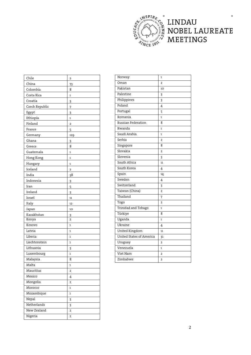

# LINDAU<br>NOBEL LAUREATE<br>MEETINGS

 $^\circledR$ 

| Chile          | 2              |
|----------------|----------------|
| China          | 73             |
| Colombia       | 8              |
| Costa Rica     | 1              |
| Croatia        | 3              |
| Czech Republic | 7              |
| Egypt          | 3              |
| Ethiopia       | 1              |
| Finland        | 2              |
| France         | 5              |
| Germany        | 129            |
| Ghana          | 3              |
| Greece         | 8              |
| Guatemala      | 1              |
| Hong Kong      | 1              |
| Hungary        | 1              |
| Iceland        | $\overline{2}$ |
| India          | 38             |
| Indonesia      | 3              |
| Iran           | 5              |
| Ireland        | 3              |
| Israel         | 11             |
| Italy          | 12             |
| Japan          | 10             |
| Kazakhstan     | 3              |
| Kenya          | 2              |
| Kosovo         | 1              |
| Latvia         | 1              |
| Liberia        | 1              |
| Liechtenstein  | 1              |
| Lithuania      | 3              |
| Luxembourg     | 1              |
| Malaysia       | 8              |
| Malta          | 1              |
| Mauritius      | 2              |
| Mexico         | 4              |
| Mongolia       | 2              |
| Morocco        | 1              |
| Mozambique     | 1              |
| Nepal          | 3              |
| Netherlands    | 3              |
| New Zealand    | 2              |
| Nigeria        | 2              |

| Oman<br>$\overline{2}$<br>Pakistan<br>10<br>Palestine<br>3<br>Philippines<br>3<br>Poland<br>4<br>Portugal<br>5<br>Romania<br>$\overline{1}$<br>Russian Federation<br>8<br>Rwanda<br>1<br>Saudi Arabia<br>$\mathbf{1}$<br>Serbia<br>$\overline{2}$<br>Singapore<br>8<br>Slovakia<br>$\overline{2}$<br>Slovenia<br>3<br>South Africa<br>11<br>South Korea<br>4<br>Spain<br>14<br>Sweden<br>4<br>Switzerland<br>3<br>Taiwan (China)<br>$\overline{2}$<br>Thailand<br>7<br>Togo<br>$\overline{2}$<br>Trinidad and Tobago<br>$\mathbf{1}$<br>Türkiye<br>8<br>Uganda<br>1<br>Ukraine<br>4<br>United Kingdom<br>11<br>United States of America<br>31<br>Uruguay<br>$\overline{2}$<br>Venezuela<br>$\mathbf{1}$<br>Viet Nam<br>$\overline{2}$<br>Zimbabwe<br>$\overline{2}$ | Norway | 1 |
|---------------------------------------------------------------------------------------------------------------------------------------------------------------------------------------------------------------------------------------------------------------------------------------------------------------------------------------------------------------------------------------------------------------------------------------------------------------------------------------------------------------------------------------------------------------------------------------------------------------------------------------------------------------------------------------------------------------------------------------------------------------------|--------|---|
|                                                                                                                                                                                                                                                                                                                                                                                                                                                                                                                                                                                                                                                                                                                                                                     |        |   |
|                                                                                                                                                                                                                                                                                                                                                                                                                                                                                                                                                                                                                                                                                                                                                                     |        |   |
|                                                                                                                                                                                                                                                                                                                                                                                                                                                                                                                                                                                                                                                                                                                                                                     |        |   |
|                                                                                                                                                                                                                                                                                                                                                                                                                                                                                                                                                                                                                                                                                                                                                                     |        |   |
|                                                                                                                                                                                                                                                                                                                                                                                                                                                                                                                                                                                                                                                                                                                                                                     |        |   |
|                                                                                                                                                                                                                                                                                                                                                                                                                                                                                                                                                                                                                                                                                                                                                                     |        |   |
|                                                                                                                                                                                                                                                                                                                                                                                                                                                                                                                                                                                                                                                                                                                                                                     |        |   |
|                                                                                                                                                                                                                                                                                                                                                                                                                                                                                                                                                                                                                                                                                                                                                                     |        |   |
|                                                                                                                                                                                                                                                                                                                                                                                                                                                                                                                                                                                                                                                                                                                                                                     |        |   |
|                                                                                                                                                                                                                                                                                                                                                                                                                                                                                                                                                                                                                                                                                                                                                                     |        |   |
|                                                                                                                                                                                                                                                                                                                                                                                                                                                                                                                                                                                                                                                                                                                                                                     |        |   |
|                                                                                                                                                                                                                                                                                                                                                                                                                                                                                                                                                                                                                                                                                                                                                                     |        |   |
|                                                                                                                                                                                                                                                                                                                                                                                                                                                                                                                                                                                                                                                                                                                                                                     |        |   |
|                                                                                                                                                                                                                                                                                                                                                                                                                                                                                                                                                                                                                                                                                                                                                                     |        |   |
|                                                                                                                                                                                                                                                                                                                                                                                                                                                                                                                                                                                                                                                                                                                                                                     |        |   |
|                                                                                                                                                                                                                                                                                                                                                                                                                                                                                                                                                                                                                                                                                                                                                                     |        |   |
|                                                                                                                                                                                                                                                                                                                                                                                                                                                                                                                                                                                                                                                                                                                                                                     |        |   |
|                                                                                                                                                                                                                                                                                                                                                                                                                                                                                                                                                                                                                                                                                                                                                                     |        |   |
|                                                                                                                                                                                                                                                                                                                                                                                                                                                                                                                                                                                                                                                                                                                                                                     |        |   |
|                                                                                                                                                                                                                                                                                                                                                                                                                                                                                                                                                                                                                                                                                                                                                                     |        |   |
|                                                                                                                                                                                                                                                                                                                                                                                                                                                                                                                                                                                                                                                                                                                                                                     |        |   |
|                                                                                                                                                                                                                                                                                                                                                                                                                                                                                                                                                                                                                                                                                                                                                                     |        |   |
|                                                                                                                                                                                                                                                                                                                                                                                                                                                                                                                                                                                                                                                                                                                                                                     |        |   |
|                                                                                                                                                                                                                                                                                                                                                                                                                                                                                                                                                                                                                                                                                                                                                                     |        |   |
|                                                                                                                                                                                                                                                                                                                                                                                                                                                                                                                                                                                                                                                                                                                                                                     |        |   |
|                                                                                                                                                                                                                                                                                                                                                                                                                                                                                                                                                                                                                                                                                                                                                                     |        |   |
|                                                                                                                                                                                                                                                                                                                                                                                                                                                                                                                                                                                                                                                                                                                                                                     |        |   |
|                                                                                                                                                                                                                                                                                                                                                                                                                                                                                                                                                                                                                                                                                                                                                                     |        |   |
|                                                                                                                                                                                                                                                                                                                                                                                                                                                                                                                                                                                                                                                                                                                                                                     |        |   |
|                                                                                                                                                                                                                                                                                                                                                                                                                                                                                                                                                                                                                                                                                                                                                                     |        |   |
|                                                                                                                                                                                                                                                                                                                                                                                                                                                                                                                                                                                                                                                                                                                                                                     |        |   |
|                                                                                                                                                                                                                                                                                                                                                                                                                                                                                                                                                                                                                                                                                                                                                                     |        |   |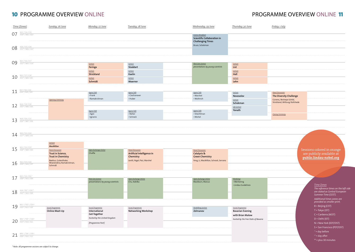# 10 PROGRAMME OVERVIEW ONLINE **10** PROGRAMME OVERVIEW ONLINE 11

| Time (Zones) |                                                                    | Sunday, 26 June                                                                                                  | Monday, 27 June                                                                   | Tuesday, 28 June                                                        | Wednesday, 29 June                                                             | Thursday, 30 June                                               | Friday, 1 July                                            |                                                                                      |
|--------------|--------------------------------------------------------------------|------------------------------------------------------------------------------------------------------------------|-----------------------------------------------------------------------------------|-------------------------------------------------------------------------|--------------------------------------------------------------------------------|-----------------------------------------------------------------|-----------------------------------------------------------|--------------------------------------------------------------------------------------|
|              | $07$ $\frac{813/714/CI5}{D10^{30}/N01/522^*}$                      |                                                                                                                  |                                                                                   |                                                                         | Science Breakfast<br>Scientific Collaboration in<br><b>Challenging Times</b>   |                                                                 |                                                           |                                                                                      |
|              | $08$ $\frac{814/715/16}{D11^{30}/N02/5233}$                        |                                                                                                                  |                                                                                   |                                                                         | Bruce, Schekman                                                                |                                                                 |                                                           |                                                                                      |
| 09           | B15 / T16 / C17<br>D12 <sup>30</sup> / N03 / S24 <sup>-1</sup>     |                                                                                                                  | Lecture<br>Feringa                                                                | Lecture<br>Stoddart                                                     | Next Gen Science<br>presentations by young scientists                          | Lecture<br>List                                                 |                                                           |                                                                                      |
|              | $10^{-\frac{B16}{D13^{30}/N04/501}}$                               |                                                                                                                  | Lecture<br>Strickland<br>Lecture<br>Schmidt                                       | Lecture<br>Kaelin<br>Lecture<br>Moerner                                 |                                                                                | Lecture<br>Hell<br>Lecture<br>Lehn                              |                                                           |                                                                                      |
|              | $11$ $\frac{817/718/CI9}{DI4^{30}/N05/502}$                        |                                                                                                                  | Agora Talk<br>• Frank<br>• Ramakrishnan                                           | Agora Talk<br>· Ciechanover<br>$\cdot$ Huber                            | Agora Talk<br>• Warshel<br>• Wüthrich                                          | Lecture<br>Novoselov                                            | <b>Panel Discussion</b><br><b>The Diversity Challenge</b> |                                                                                      |
|              | $12^{-\frac{B18}{D15^{30}/N06/503}}$                               | Opening Ceremony                                                                                                 | Agora Talk                                                                        | Agora Talk                                                              | Agora Talk                                                                     | Lecture<br>Schekman<br>Life Lecture<br>Yonath                   | Günenç, Restrepo Schild,<br>Strickland, Wittung-Stafshede |                                                                                      |
|              | $13$ $\frac{B19/T20/C21}{D16^{30}/N07/504}$                        |                                                                                                                  | $\cdot$ Agre<br>· Ignarro                                                         | $\cdot$ Neher<br>· Schrock                                              | · Shechtman<br>• Michel                                                        |                                                                 | Closing Ceremony                                          |                                                                                      |
|              | $14$ $\frac{B20/T21/C22}{D17^{30}/N08/505}$                        |                                                                                                                  |                                                                                   |                                                                         |                                                                                |                                                                 |                                                           |                                                                                      |
| 15           | B21/T22/C23<br>D1830 / N09 / S06                                   | Lecture<br>MacMillan<br><b>Panel Discussion</b>                                                                  | Open Exchange Online<br>Chalfie                                                   | <b>Panel Discussion</b>                                                 | <b>Panel Discussion</b>                                                        |                                                                 |                                                           | Sessions colored in orange                                                           |
| 16           | B22/T23/C24<br>D19 <sup>30</sup> /N10/S07                          | Trust in Science,<br><b>Trust in Chemistry</b><br>Boetius, Gutenthaler,<br>Miserendino, Ramakrishnan,<br>Schmidt |                                                                                   | Artificial Intelligence in<br>Chemistry<br>Levitt, Nigel, Paiz, Warshel | Catalysis &<br><b>Green Chemistry</b><br>Feng, Li, MacMillan, Schrock, Serrano |                                                                 |                                                           | are publicly available at<br>public.lindau-nobel.org                                 |
| 17           | B23 / T24 / C01+1<br>D20 <sup>30</sup> / N11 / S08                 |                                                                                                                  | Next Gen Science                                                                  | Open Exchange Online                                                    | Open Exchange Online                                                           | Workshop                                                        |                                                           |                                                                                      |
| 18           | $\frac{B24/701^{41}/C02^{41}}{D21^{30}/N12/509}$                   |                                                                                                                  | presentations by young scientists                                                 | Chu, Kobilka                                                            | Blackburn, Marcus                                                              | • Mentoring<br>· Lindau Guidelines                              |                                                           | Time Zones<br>The reference times on the left side<br>are stated as Central European |
|              |                                                                    |                                                                                                                  |                                                                                   |                                                                         |                                                                                |                                                                 |                                                           | Summer Time (CEST).<br>Additional times zones are<br>provided as smaller print.      |
| 19           | $\frac{B01^{+1} / 702^{+1} / CO3^{+1}}{D22^{30} / N13 / S10}$      | Social Programme<br><b>Online Meet-Up</b>                                                                        | Social Programme<br>International<br>Get-Together<br>hosted by the United Kingdom | Social Programme<br><b>Networking Workshop</b>                          | Heidelberg Lecture<br>Zelmanov                                                 | Social Programme<br><b>Bavarian Evening</b><br>with Brian Malow |                                                           | $B = Beijing (CST)$<br>$T = Tokyo (JST)$<br>C = Canberra (AEST)<br>$D = Delhi (IST)$ |
|              | $20$ $\frac{802^{+1} / 703^{+1} / CO4^{+1}}{D23^{30} / N14 / S11}$ |                                                                                                                  | [Programme Part]                                                                  |                                                                         |                                                                                | hosted by the Free State of Bavaria                             |                                                           | $N = New York (EDT/DST)$<br>S = San Francisco (PDT/DST)<br>$-1$ = day before         |
|              | 21 $\frac{B03^{+1}/T04^{+1}/C05^{+}}{D00^{30}/N15/512}$            |                                                                                                                  |                                                                                   |                                                                         |                                                                                |                                                                 |                                                           | $H = day$ after<br><sup>30</sup> + plus 30 minutes                                   |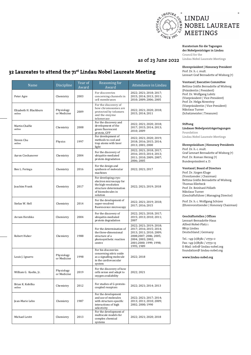

**Kuratorium für die Tagungen der Nobelpreisträger in Lindau Council for the Lindau Nobel Laureate Meetings** 

### **Ehrenpräsident | Honorary President**

Prof. Dr. h. c. mult. Lennart Graf Bernadotte af Wisborg (†)

### **Vorstand | Executive Committee**

Bettina Gräfin Bernadotte af Wisborg (Präsidentin | President) Prof. Dr. Wolfgang Lubitz (Vizepräsident | Vice-President) Prof. Dr. Helga Nowotny (Vizepräsidentin | Vice-President) Nikolaus Turner (Schatzmeister | Treasurer)

### **Stiftung**

as of 23 June 2022

**Lindauer Nobelpreisträgertagungen Foundation Lindau Nobel Laureate Meetings** 

### **Ehrenpräsidium | Honorary Presidents**

Prof. Dr. h. c. mult. Graf Lennart Bernadotte af Wisborg (†) Prof. Dr. Roman Herzog (†) Bundespräsident a. D.

### **Vorstand | Board of Directors**

Prof. Dr. Jürgen Kluge (Vorsitzender | Chairman) Bettina Gräfin Bernadotte af Wisborg Thomas Ellerbeck Prof. Dr. Reinhard Pöllath Nikolaus Turner (Geschäftsführer | Managing Director)

Prof. Dr. h. c. Wolfgang Schürer (Ehrenvorsitzender | Honorary Chairman)

### **Geschäftsstellen | Offices**

Lennart-Bernadotte-Haus Alfred-Nobel-Platz 1 88131 Lindau Deutschland | Germany

Tel.: +49 (0)8382 / 27731-0 Fax: +49 (0)8382 / 27731-13 E-Mail: info@ lindau-nobel.org foundation@ lindau-nobel.org

**www.lindau-nobel.org** 

# **32 Laureates to attend the 71st Lindau Nobel Laureate Meeting**

| Name                             | Discipline                | Year of<br>Award | Reasoning for<br>Award                                                                                                              | Attendance in Lindau                                                                                                                                                 |
|----------------------------------|---------------------------|------------------|-------------------------------------------------------------------------------------------------------------------------------------|----------------------------------------------------------------------------------------------------------------------------------------------------------------------|
| Peter Agre                       | Chemistry                 | 2003             | For discoveries<br>concerning channels in<br>cell membranes                                                                         | 2022; 2021; 2018; 2017;<br>2015; 2014; 2013; 2011;<br>2010; 2009; 2006; 2005                                                                                         |
| Elizabeth H. Blackburn<br>online | Physiology<br>or Medicine | 2009             | For the discovery of<br>how chromosomes are<br>protected by telomers<br>and the enzyme<br>telomerase                                | 2022; 2021; 2020; 2018;<br>2015; 2014; 2011                                                                                                                          |
| Martin Chalfie<br>online         | Chemistry                 | 2008             | For the discovery and<br>development of the<br>green fluorescent<br>protein, GFP                                                    | 2022; 2021; 2020; 2018;<br>2017; 2015; 2014; 2013;<br>2010; 2009                                                                                                     |
| Steven Chu<br>online             | Physics                   | 1997             | For development of<br>methods to cool and<br>trap atoms with laser<br>light                                                         | 2022; 2021; 2020; 2019;<br>2018; 2016; 2015; 2014;<br>2013; 2001; 2000                                                                                               |
| Aaron Ciechanover                | Chemistry                 | 2004             | For the discovery of<br>ubiquitin-mediated<br>protein degradation                                                                   | 2022; 2021; 2018; 2017;<br>2016; 2015; 2014; 2013;<br>2011; 2010; 2009; 2007;<br>2006; 2005                                                                          |
| Ben L. Feringa                   | Chemistry                 | 2016             | For the design and<br>synthesis of molecular<br>machines                                                                            | 2022; 2021; 2017                                                                                                                                                     |
| <b>Joachim Frank</b>             | Chemistry                 | 2017             | For developing cryo-<br>electron microscopy for<br>the high-resolution<br>structure determination<br>of biomolecules in<br>solution | 2022; 2021; 2019; 2018                                                                                                                                               |
| Stefan W. Hell                   | Chemistry                 | 2014             | For the development of<br>super-resolved<br>fluorescence microscopy                                                                 | 2022; 2021; 2019; 2018;<br>2017; 2016; 2015                                                                                                                          |
| Avram Hershko                    | Chemistry                 | 2004             | For the discovery of<br>ubiquitin-mediated<br>protein degradation                                                                   | 2022; 2021; 2018; 2017;<br>2015; 2013; 2010; 2011;<br>2007                                                                                                           |
| Robert Huber                     | Chemistry                 | 1988             | For the determination of<br>the three-dimensional<br>structure of a<br>photosynthetic reaction<br>centre                            | 2022; 2021; 2019; 2018;<br>2017; 2016; 2015; 2014;<br>2013; 2011; 2010; 2009;<br>2008;2007; 2006; 2005;<br>2004; 2003; 2002;<br>2001;2000; 1999; 1998;<br>1995; 1989 |
| Louis J. Ignarro                 | Physiology<br>or Medicine | 1998             | For his discoveries<br>concerning nitric oxide<br>as a signalling molecule<br>in the cardiovascular<br>system                       | 2022; 2018                                                                                                                                                           |
| William G. Kaelin, Jr.           | Physiology<br>or Medicine | 2019             | For the discovery of how<br>cells sense and adapt to<br>oxygen availability                                                         | 2022; 2021                                                                                                                                                           |
| Brian K. Kobilka<br>online       | Chemistry                 | 2012             | For studies of G-protein-<br>coupled receptors                                                                                      | 2022; 2021; 2014; 2013                                                                                                                                               |
| Jean-Marie Lehn                  | Chemistry                 | 1987             | For the development<br>and use of molecules<br>with structure-specific<br>interactions of high<br>selectivity                       | 2022; 2021; 2017; 2014;<br>2013; 2011; 2010; 2009;<br>2002; 2000; 1990                                                                                               |
| Michael Levitt                   | Chemistry                 | 2013             | For the development of<br>multiscale models for<br>complex chemical<br>systems                                                      | 2022; 2021; 2020; 2018                                                                                                                                               |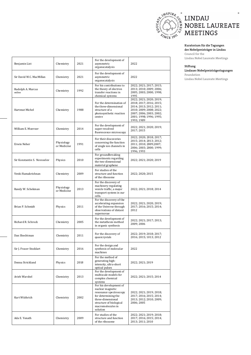

## **Kuratorium für die Tagungen der Nobelpreisträger in Lindau**

**Council for the Lindau Nobel Laureate Meetings** 

### **Stiftung**

**Lindauer Nobelpreisträgertagungen** 

**Foundation Lindau Nobel Laureate Meetings** 

| Sir David W.C. MacMillan    | Chemistry                 | 2021 | For the development of<br>asymmetric<br>organocatalysis                                                                                                                      | 2022                                                                                                                                                                         |
|-----------------------------|---------------------------|------|------------------------------------------------------------------------------------------------------------------------------------------------------------------------------|------------------------------------------------------------------------------------------------------------------------------------------------------------------------------|
| Rudolph A. Marcus<br>online | Chemistry                 | 1992 | For his contributions to<br>the theory of electron<br>transfer reactions in<br>chemical systems                                                                              | 2022; 2021; 2017; 2015;<br>2013; 2010; 2009; 2006;<br>2005; 2003; 2000; 1998;<br>1995                                                                                        |
| Hartmut Michel              | Chemistry                 | 1988 | For the determination of<br>the three-dimensional<br>structure of a<br>photosynthetic reaction<br>centre                                                                     | 2022; 2021; 2020; 2019;<br>2018; 2017; 2016; 2015;<br>2014; 2013; 2012; 2011;<br>2010; 2009; 2008; 2022;<br>2007; 2006; 2003; 2002;<br>2001; 1998; 1996; 1995;<br>1993; 1989 |
| William E. Moerner          | Chemistry                 | 2014 | For the development of<br>super-resolved<br>fluorescence microscopy                                                                                                          | 2022; 2021; 2020; 2019;<br>2017; 2015                                                                                                                                        |
| Erwin Neher                 | Physiology<br>or Medicine | 1991 | For their discoveries<br>concerning the function<br>of single ion channels in<br>cells                                                                                       | 2022; 2020; 2018; 2017;<br>2015; 2014; 2013; 2012;<br>2011; 2010; 2009; 2007;<br>2006; 2003; 2000; 1999;<br>1996; 1993                                                       |
| Sir Konstantin S. Novoselov | Physics                   | 2010 | For groundbreaking<br>experiments regarding<br>the two-dimensional<br>material graphene                                                                                      | 2022; 2021; 2020; 2019                                                                                                                                                       |
| Venki Ramakrishnan          | Chemistry                 | 2009 | For studies of the<br>structure and function<br>of the ribosome                                                                                                              | 2022; 2020; 2015                                                                                                                                                             |
| Randy W. Schekman           | Physiology<br>or Medicine | 2013 | For the discovery of<br>machinery regulating<br>vesicle traffic, a major<br>transport system in our<br>cells.                                                                | 2022; 2021; 2018; 2014                                                                                                                                                       |
| Brian P. Schmidt            | Physics                   | 2011 | For the discovery of the<br>accelerating expansion<br>of the Universe through<br>observations of distant<br>supernovae                                                       | 2022; 2021; 2020; 2019;<br>2017; 2016; 2015; 2014;<br>2012                                                                                                                   |
| Richard R. Schrock          | Chemistry                 | 2005 | For the development of<br>the metathesis method<br>in organic synthesis                                                                                                      | 2022; 2021; 2017; 2013;<br>2009; 2006                                                                                                                                        |
| Dan Shechtman               | Chemistry                 | 2011 | For the discovery of<br>quasicrystals                                                                                                                                        | 2022; 2019; 2018; 2017;<br>2016; 2015; 1013; 2012                                                                                                                            |
| Sir J. Fraser Stoddart      | Chemistry                 | 2016 | For the design and<br>synthesis of molecular<br>machines                                                                                                                     | 2022                                                                                                                                                                         |
| Donna Strickland            | Physics                   | 2018 | For the method of<br>generating high-<br>intensity, ultra-short<br>optical pulses                                                                                            | 2022; 2021; 2019                                                                                                                                                             |
| Arieh Warshel               | Chemistry                 | 2013 | For the development of<br>multiscale models for<br>complex chemical<br>systems                                                                                               | 2022; 2021; 2015; 2014                                                                                                                                                       |
| Kurt Wüthrich               | Chemistry                 | 2002 | For his development of<br>nuclear magnetic<br>resonance spectroscopy<br>for determining the<br>three-dimensional<br>structure of biological<br>macromolecules in<br>solution | 2022; 2021; 2019; 2018;<br>2017; 2016; 2015; 2014;<br>2013; 2012; 2010; 2009;<br>2006; 2005                                                                                  |
| Ada E. Yonath               | Chemistry                 | 2009 | For studies of the<br>structure and function                                                                                                                                 | 2022; 2021; 2019; 2018;<br>2017; 2016; 2015; 2014;                                                                                                                           |

of the ribosome

2013; 2011; 2010

For the development of asymmetric organocatalysis

2022

Benjamin List Chemistry 2021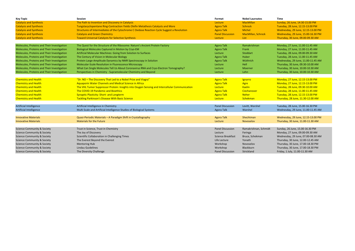| <b>Key Topic</b>                            | <b>Session</b>                                                                                 | Format                   | <b>Nobel Laureates</b>    | Time                               |
|---------------------------------------------|------------------------------------------------------------------------------------------------|--------------------------|---------------------------|------------------------------------|
| <b>Catalysis and Synthesis</b>              | The Path to Invention and Discovery in Catalysis                                               | Lecture                  | <b>MacMillan</b>          | Sunday, 26 June, 14:30-15.00 PM    |
| <b>Catalysis and Synthesis</b>              | Tungstacyclopentane Ring-Contraction Yields Olefin Metathesis Catalysts and More               | <b>Agora Talk</b>        | Schrock                   | Tuesday, 28 June, 12.15-13.00 PM   |
| <b>Catalysis and Synthesis</b>              | Structures of Intermediates of the Cytochrome C Oxidase Reaction Cycle Suggest a Revolution    | <b>Agora Talk</b>        | <b>Michel</b>             | Wednesday, 29 June, 12.15-13.00 PM |
| <b>Catalysis and Synthesis</b>              | <b>Catalysis and Green Chemistry</b>                                                           | <b>Panel Discussion</b>  | <b>MacMillan, Schrock</b> | Wednesday, 29 June, 15.00-16.30 PM |
| <b>Catalysis and Synthesis</b>              | <b>Toward Universal Catalysts for Selective Synthesis</b>                                      | Lecture                  | List                      | Thursday, 30 June, 09.00-09.30 AM  |
| Molecules, Proteins and Their Investigation | The Quest for the Structure of the Ribosome: Nature's Ancient Protein Factory                  | <b>Agora Talk</b>        | Ramakrishnan              | Monday, 27 June, 11.00-11.45 AM    |
| Molecules, Proteins and Their Investigation | Biological Molecules Captured in Motion by Cryo-EM                                             | <b>Agora Talk</b>        | Frank                     | Monday, 27 June, 11.00-11.45 AM    |
| Molecules, Proteins and Their Investigation | Artificial Molecular Machines: Going from Solution to Surfaces                                 | Lecture                  | Stoddart                  | Tuesday, 28 June, 09.00-09.30 AM   |
| Molecules, Proteins and Their Investigation | The Century of Vision in Molecular Biology                                                     | <b>Agora Talk</b>        | Huber                     | Tuesday, 28 June, 11.00-11.45 AM   |
| Molecules, Proteins and Their Investigation | Protein Large-Amplitude Dynamics by NMR Spectroscopy in Solution                               | <b>Agora Talk</b>        | Wüthrich                  | Wednesday, 29 June, 11.00-11.45 AM |
| Molecules, Proteins and Their Investigation | Molecular-Scale Resolution in Fluorescence Microscopy                                          | Lecture                  | Hell                      | Thursday, 30 June, 09.30-10.00 AM  |
| Molecules, Proteins and Their Investigation | What Can Single Molecules Tell Us About Coronavirus RNA and Cryo-Electron Tomography?          | Lecture                  | Moerner                   | Thursday, 30 June, 10.00-10.30 AM  |
| Molecules, Proteins and Their Investigation | Perspectives in Chemistry - Supramolecular Chemistry and Beyond                                | Lecture                  | Lehn                      | Thursday, 30 June, 10.00-10.30 AM  |
| <b>Chemistry and Health</b>                 | "Dr. NO - The Discovery That Led to a Nobel Prize and Viagra"                                  | <b>Agora Talk</b>        | Ignarro                   | Monday, 27 June, 12.15-13.00 PM    |
| <b>Chemistry and Health</b>                 | Aquaporin Water Channels and Medical Science in Africa                                         | <b>Agora Talk</b>        | Agre                      | Monday, 27 June, 12.15-13.00 PM    |
| <b>Chemistry and Health</b>                 | The VHL Tumor Suppressor Protein: Insights into Oxygen Sensing and Intercellular Communication | Lecture                  | <b>Kaelin</b>             | Tuesday, 28 June, 09.30-10.00 AM   |
| <b>Chemistry and Health</b>                 | The COVID-19 Pandemic and Bioethics                                                            | <b>Agora Talk</b>        | Ciechanover               | Tuesday, 28 June, 11.00-11.45 AM   |
| <b>Chemistry and Health</b>                 | <b>Synaptic Plasticity: Short- and Longterm</b>                                                | <b>Agora Talk</b>        | <b>Neher</b>              | Tuesday, 28 June, 12.15-13.00 PM   |
| <b>Chemistry and Health</b>                 | <b>Tackling Parkinson's Disease With Basic Science</b>                                         | Lecture                  | Schekman                  | Thursday, 28 June, 11.30-12.00 AM  |
| <b>Artificial Intelligence</b>              | Artificial Intelligence in Chemistry                                                           | <b>Panel Discussion</b>  | Levitt, Warshel           | Tuesday, 28 June, 15.00-16.30 PM   |
| <b>Artificial Intelligence</b>              | Multi Scale and Artificial Intelligence Studies of Biological Systems                          | <b>Agora Talk</b>        | Warshel                   | Wednesday, 29 June, 11.00-11.45 AM |
| <b>Innovative Materials</b>                 | Quasi-Periodic Materials - A Paradigm Shift in Crystallography                                 | <b>Agora Talk</b>        | Shechtman                 | Wednesday, 29 June, 12.15-13.00 PM |
| <b>Innovative Materials</b>                 | <b>Materials for the Future</b>                                                                | <b>Lecture</b>           | Novoselov                 | Thursday, 30 June, 11.00-11.30 AM  |
| <b>Science Community &amp; Society</b>      | Trust in Science, Trust in Chemistry                                                           | <b>Panel Discussion</b>  | Ramakrishnan, Schmidt     | Sunday, 26 June, 15.00-16.30 PM    |
| <b>Science Community &amp; Society</b>      | The Joy of Discovery                                                                           | Lecture                  | Feringa                   | Monday, 27 June, 09.00-09.30 AM    |
| <b>Science Community &amp; Society</b>      | Scientific Collaboration in Challenging Times                                                  | <b>Science Breakfast</b> | Bruce, Schekman           | Wednesday, 29 June, 07.00-08.30 AM |
| <b>Science Community &amp; Society</b>      | The Everest Beyond the Everest                                                                 | Life Lecture             | Yonath                    | Thursday, 30 June, 12.00-12.45 AM  |
| <b>Science Community &amp; Society</b>      | <b>Mentoring Hub</b>                                                                           | Workshop                 | Novoselov                 | Thursday, 30 June, 17.00-18.30 PM  |
| <b>Science Community &amp; Society</b>      | Lindau Guidelines                                                                              | Workshop                 | Blackburn                 | Thursday, 30 June, 17.00-18.30 PM  |
| <b>Science Community &amp; Society</b>      | The Diversity Challenge                                                                        | <b>Panel Discussion</b>  | Strickland                | Friday, 1 July, 11.00-11.30 AM     |

| <b>Nobel Laureates</b> | <b>Time</b>                        |
|------------------------|------------------------------------|
| <b>MacMillan</b>       | Sunday, 26 June, 14:30-15.00 PM    |
| <b>Schrock</b>         | Tuesday, 28 June, 12.15-13.00 PM   |
| <b>Michel</b>          | Wednesday, 29 June, 12.15-13.00 PM |
| MacMillan, Schrock     | Wednesday, 29 June, 15.00-16.30 PM |
| List                   | Thursday, 30 June, 09.00-09.30 AM  |
|                        |                                    |
| Ramakrishnan           | Monday, 27 June, 11.00-11.45 AM    |
| Frank                  | Monday, 27 June, 11.00-11.45 AM    |
| <b>Stoddart</b>        | Tuesday, 28 June, 09.00-09.30 AM   |
| <b>Huber</b>           | Tuesday, 28 June, 11.00-11.45 AM   |
| Wüthrich               | Wednesday, 29 June, 11.00-11.45 AM |
| Hell                   | Thursday, 30 June, 09.30-10.00 AM  |
| <b>Moerner</b>         | Thursday, 30 June, 10.00-10.30 AM  |
| Lehn                   | Thursday, 30 June, 10.00-10.30 AM  |
|                        |                                    |
| Ignarro                | Monday, 27 June, 12.15-13.00 PM    |
| Agre                   | Monday, 27 June, 12.15-13.00 PM    |
| <b>Kaelin</b>          | Tuesday, 28 June, 09.30-10.00 AM   |
| Ciechanover            | Tuesday, 28 June, 11.00-11.45 AM   |
| <b>Neher</b>           | Tuesday, 28 June, 12.15-13.00 PM   |
| Schekman               | Thursday, 28 June, 11.30-12.00 AM  |
|                        |                                    |
| Levitt, Warshel        | Tuesday, 28 June, 15.00-16.30 PM   |
| Warshel                | Wednesday, 29 June, 11.00-11.45 AM |
|                        |                                    |
| Shechtman              | Wednesday, 29 June, 12.15-13.00 PM |
| <b>Novoselov</b>       | Thursday, 30 June, 11.00-11.30 AM  |
|                        |                                    |
| Ramakrishnan, Schmidt  | Sunday, 26 June, 15.00-16.30 PM    |
| Feringa                | Monday, 27 June, 09.00-09.30 AM    |
| Bruce, Schekman        | Wednesday, 29 June, 07.00-08.30 AM |
| Yonath                 | Thursday, 30 June, 12.00-12.45 AM  |
| Novoselov              | Thursday, 30 June, 17.00-18.30 PM  |
| Blackburn              | Thursday, 30 June, 17.00-18.30 PM  |
| Strickland             | Friday, 1 July, 11.00-11.30 AM     |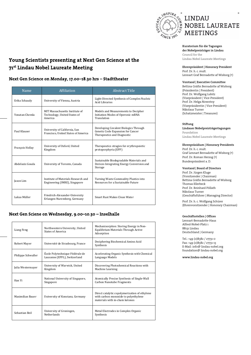

**Young Scientists presenting at Next Gen Science at the 71st Lindau Nobel Laureate Meeting** 

### **Next Gen Science on Monday, 17.00–18.30 hrs – Stadttheater**

| Name            | Affiliation                                                               | Abstract Title                                                                                            |
|-----------------|---------------------------------------------------------------------------|-----------------------------------------------------------------------------------------------------------|
| Erika Schaudy   | University of Vienna, Austria                                             | Light-Directed Synthesis of Complex Nucleic<br><b>Acid Libraries</b>                                      |
| Yonatan Chemla  | MIT Massachusetts Institute of<br>Technology, United States of<br>America | Models and Measurements to Decipher<br>Initiation Modes of Operonic mRNA<br>Translation                   |
| Paul Klauser    | University of California, San<br>Francisco, United States of America      | Developing Covalent Biologics Through<br>Genetic Code Expansion for Cancer<br>Therapeutics and Diagnostic |
| François Hollay | University of Oxford, United<br>Kingdom                                   | Therapeutics stragies for erythropoietic<br>protoporphyria (EPP)                                          |
| Abdelaziz Gouda | University of Toronto, Canada                                             | Sustainable Biodegradable Materials and<br>Devices Integrating Energy Conversion and<br>Storage           |
| Jason Lim       | Institute of Materials Research and<br>Engineering (IMRE), Singapore      | Turning Waste Commodity Plastics into<br>Resources for a Sustainable Future                               |
| Lukas Müller    | Friedrich-Alexander-University<br>Erlangen-Nuremberg, Germany             | Smart Rust Makes Clean Water                                                                              |

# **Next Gen Sciene on Wednesday, 9.00–10.30 – Inselhalle**

| Liang Feng         | Northwestern University, United<br><b>States of America</b>     | Mechanisorption: Storing Energy in Non-<br>Equilibrium Materials Through Active<br>Adsorption                            |
|--------------------|-----------------------------------------------------------------|--------------------------------------------------------------------------------------------------------------------------|
| Robert Mayer       | Université de Strasbourg, France                                | Deciphering Biochemical Amino Acid<br>Synthesis                                                                          |
| Philippe Schwaller | École Polytechnique Fédérale de<br>Lausanne (EPFL), Switzerland | Accelerating Organic Synthesis with Chemical<br>Language Models                                                          |
| Julia Westermayer  | University of Warwick, United<br>Kingdom                        | Discovering Photochemical Reactions with<br>Machine Learning                                                             |
| Han Yi             | National University of Singapore,<br>Singapore                  | Atomically Precise Synthesis of Single-Wall<br><b>Carbon Nanotube Fragments</b>                                          |
| Maximilian Bauer   | University of Konstanz, Germany                                 | Direct catalytic copolymerization of ethylene<br>with carbon monoxide to polyethylene<br>materials with in-chain ketones |
| Sebastian Beil     | University of Groningen,<br><b>Netherlands</b>                  | Metal Electrodes in Complex Organic<br>Synthesis                                                                         |

**Kuratorium für die Tagungen der Nobelpreisträger in Lindau Council for the Lindau Nobel Laureate Meetings** 

**Ehrenpräsident | Honorary President** 

Prof. Dr. h. c. mult. Lennart Graf Bernadotte af Wisborg (†)

### **Vorstand | Executive Committee**

Bettina Gräfin Bernadotte af Wisborg (Präsidentin | President) Prof. Dr. Wolfgang Lubitz (Vizepräsident | Vice-President) Prof. Dr. Helga Nowotny (Vizepräsidentin | Vice-President) Nikolaus Turner (Schatzmeister | Treasurer)

**Stiftung** 

**Lindauer Nobelpreisträgertagungen Foundation Lindau Nobel Laureate Meetings** 

### **Ehrenpräsidium | Honorary Presidents**

Prof. Dr. h. c. mult. Graf Lennart Bernadotte af Wisborg (†) Prof. Dr. Roman Herzog (†) Bundespräsident a. D.

### **Vorstand | Board of Directors**

Prof. Dr. Jürgen Kluge (Vorsitzender | Chairman) Bettina Gräfin Bernadotte af Wisborg Thomas Ellerbeck Prof. Dr. Reinhard Pöllath Nikolaus Turner (Geschäftsführer | Managing Director)

Prof. Dr. h. c. Wolfgang Schürer (Ehrenvorsitzender | Honorary Chairman)

### **Geschäftsstellen | Offices**

Lennart-Bernadotte-Haus Alfred-Nobel-Platz 1 88131 Lindau Deutschland | Germany

Tel.: +49 (0)8382 / 27731-0 Fax: +49 (0)8382 / 27731-13 E-Mail: info@ lindau-nobel.org foundation@ lindau-nobel.org

**www.lindau-nobel.org**